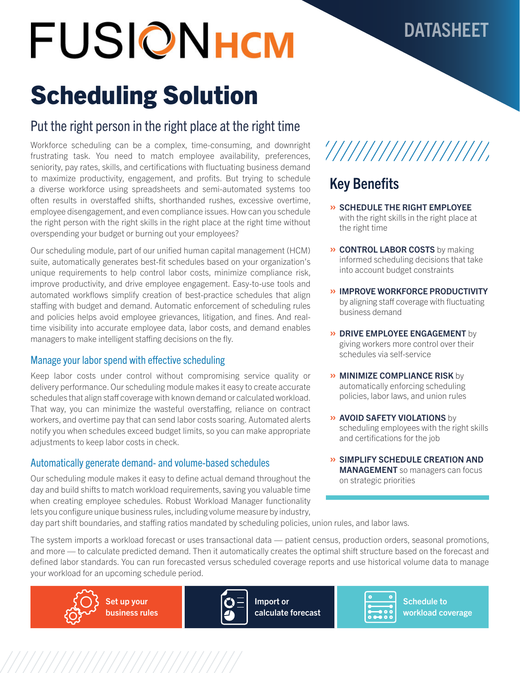# FUSIONHCM

## DATASHEET

# Scheduling Solution

### Put the right person in the right place at the right time

Workforce scheduling can be a complex, time-consuming, and downright frustrating task. You need to match employee availability, preferences, seniority, pay rates, skills, and certifications with fluctuating business demand to maximize productivity, engagement, and profits. But trying to schedule a diverse workforce using spreadsheets and semi-automated systems too often results in overstaffed shifts, shorthanded rushes, excessive overtime, employee disengagement, and even compliance issues. How can you schedule the right person with the right skills in the right place at the right time without overspending your budget or burning out your employees?

Our scheduling module, part of our unified human capital management (HCM) suite, automatically generates best-fit schedules based on your organization's unique requirements to help control labor costs, minimize compliance risk, improve productivity, and drive employee engagement. Easy-to-use tools and automated workflows simplify creation of best-practice schedules that align staffing with budget and demand. Automatic enforcement of scheduling rules and policies helps avoid employee grievances, litigation, and fines. And realtime visibility into accurate employee data, labor costs, and demand enables managers to make intelligent staffing decisions on the fly.

### Manage your labor spend with effective scheduling

Keep labor costs under control without compromising service quality or delivery performance. Our scheduling module makes it easy to create accurate schedules that align staff coverage with known demand or calculated workload. That way, you can minimize the wasteful overstaffing, reliance on contract workers, and overtime pay that can send labor costs soaring. Automated alerts notify you when schedules exceed budget limits, so you can make appropriate adjustments to keep labor costs in check.

### Automatically generate demand- and volume-based schedules

Our scheduling module makes it easy to define actual demand throughout the day and build shifts to match workload requirements, saving you valuable time when creating employee schedules. Robust Workload Manager functionality lets you configure unique business rules, including volume measure by industry,

# '///////////////////

### Key Benefits

- » SCHEDULE THE RIGHT EMPLOYEE with the right skills in the right place at the right time
- » CONTROL LABOR COSTS by making informed scheduling decisions that take into account budget constraints
- » IMPROVE WORKFORCE PRODUCTIVITY by aligning staff coverage with fluctuating business demand
- **» DRIVE EMPLOYEE ENGAGEMENT** by giving workers more control over their schedules via self-service
- » MINIMIZE COMPLIANCE RISK by automatically enforcing scheduling policies, labor laws, and union rules
- » AVOID SAFETY VIOLATIONS by scheduling employees with the right skills and certifications for the job
- » SIMPLIFY SCHEDULE CREATION AND **MANAGEMENT** so managers can focus on strategic priorities

day part shift boundaries, and staffing ratios mandated by scheduling policies, union rules, and labor laws.

The system imports a workload forecast or uses transactional data — patient census, production orders, seasonal promotions, and more — to calculate predicted demand. Then it automatically creates the optimal shift structure based on the forecast and defined labor standards. You can run forecasted versus scheduled coverage reports and use historical volume data to manage your workload for an upcoming schedule period.





Import or calculate forecast



Schedule to workload coverage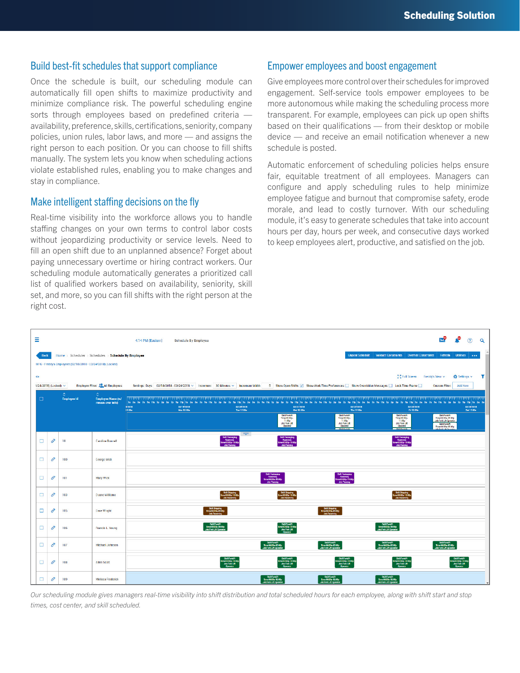#### Build best-fit schedules that support compliance

Once the schedule is built, our scheduling module can automatically fill open shifts to maximize productivity and minimize compliance risk. The powerful scheduling engine sorts through employees based on predefined criteria availability, preference, skills, certifications, seniority, company policies, union rules, labor laws, and more — and assigns the right person to each position. Or you can choose to fill shifts manually. The system lets you know when scheduling actions violate established rules, enabling you to make changes and stay in compliance.

#### Make intelligent staffing decisions on the fly

Real-time visibility into the workforce allows you to handle staffing changes on your own terms to control labor costs without jeopardizing productivity or service levels. Need to fill an open shift due to an unplanned absence? Forget about paying unnecessary overtime or hiring contract workers. Our scheduling module automatically generates a prioritized call list of qualified workers based on availability, seniority, skill set, and more, so you can fill shifts with the right person at the right cost.

### Empower employees and boost engagement

Give employees more control over their schedules for improved engagement. Self-service tools empower employees to be more autonomous while making the scheduling process more transparent. For example, employees can pick up open shifts based on their qualifications — from their desktop or mobile device — and receive an email notification whenever a new schedule is posted.

Automatic enforcement of scheduling policies helps ensure fair, equitable treatment of all employees. Managers can configure and apply scheduling rules to help minimize employee fatigue and burnout that compromise safety, erode morale, and lead to costly turnover. With our scheduling module, it's easy to generate schedules that take into account hours per day, hours per week, and consecutive days worked to keep employees alert, productive, and satisfied on the job.

| Ξ                                                                                                                                                                                                                                                                                                |               |                    |                                              | 4:14 PM (Eastern)<br><b>Schedule By Employee</b>                                                                                                                                                                                                                                             | <b>DRP</b>                                                                                                                                        | r                                                              | $\circledR$              | $\alpha$ |
|--------------------------------------------------------------------------------------------------------------------------------------------------------------------------------------------------------------------------------------------------------------------------------------------------|---------------|--------------------|----------------------------------------------|----------------------------------------------------------------------------------------------------------------------------------------------------------------------------------------------------------------------------------------------------------------------------------------------|---------------------------------------------------------------------------------------------------------------------------------------------------|----------------------------------------------------------------|--------------------------|----------|
| <b>Unpost Schedule</b><br>Validate Constraints   Override Constraints<br>Home > Scheduler > Schedules > Schedule By Employee<br>Refresh<br><b>Utilities</b><br><b>Back</b><br>$\sim 0.001$                                                                                                       |               |                    |                                              |                                                                                                                                                                                                                                                                                              |                                                                                                                                                   |                                                                |                          |          |
| MFG - Freddy's Employees (02/18/2018 - 02/24/2018) (Locked)                                                                                                                                                                                                                                      |               |                    |                                              |                                                                                                                                                                                                                                                                                              |                                                                                                                                                   |                                                                |                          |          |
| 증증 Full Screen<br>Freddy's View ~<br>Settings ~<br>ata                                                                                                                                                                                                                                           |               |                    |                                              |                                                                                                                                                                                                                                                                                              |                                                                                                                                                   |                                                                |                          |          |
| Employee Filter: All Employees<br>Settings: Days 02/18/2018 - 02/24/2018 ~ Increment 30 Minutes ~ Increment Width 5 Show Open Shifts √ Show Work Time Preferences Show Overridden Messages Lock Time Frame<br>1/24/2018) (Locked) ~<br><b>Add New</b><br><b>Custom Filter:</b><br>$\ddot{\circ}$ |               |                    |                                              |                                                                                                                                                                                                                                                                                              |                                                                                                                                                   |                                                                |                          |          |
| □                                                                                                                                                                                                                                                                                                |               | <b>Employee Id</b> | <b>Employee Name (w/</b><br>mouse-over info) | la 3a 5a 7a 5a lla 1p 3p<br>11n<br><b>Ta</b><br>2 <sub>n</sub><br>3/2018<br>02/19/2018<br>02/20/2018<br>02/21/2018<br>02/22/2018<br>02/23/2018<br>12:00a<br><b>Mon 12:00s</b><br><b>Tue 12:00a</b><br>Fri 12:00s<br>Wed 12:00s<br>Thu 12:00a                                                 | Sa Za Sa Ha In                                                                                                                                    |                                                                | 02/24/2018<br>Set 12:00e |          |
|                                                                                                                                                                                                                                                                                                  |               |                    |                                              | <b>SMILForkitt</b><br><b>SMILForican</b><br>Skill Forkim<br>Time 03 00p-<br>Time 03:00p-<br>Time 03:00p-<br>11,000<br>11.00p<br>11.00p<br><b>Job:Fork Lift</b><br><b>Job:Fork Life</b><br><b>Job:Fork Lift</b><br>Operator<br>Operator<br>Operator<br><b>CONTECCION</b><br><b>CONTRACTOR</b> | <b>Skill Forklift</b><br>Time 08:00a-05:00p<br><b>Job Fork Lift Operator</b><br><b>Skill Forkitt</b><br>Time 08:00a-05:00p<br><b>LE PLATIN NO</b> |                                                                |                          |          |
| $\Box$                                                                                                                                                                                                                                                                                           | 8             | 10 <sup>°</sup>    | <b>Caroline Bonnell</b>                      | $\overline{\phantom{a}}$<br>Skill:Packaging<br>Assembly<br>Time:03:00p-11:00p<br>SxII:Packaging<br>Assembly<br>lime:03:00p-11:00p<br>SxII:Packaging<br>Assembly<br>ime:03:00p-11:00p<br>JociPaciong<br>JobPerking<br><b>JobPacking</b>                                                       |                                                                                                                                                   |                                                                |                          |          |
| $\Box$                                                                                                                                                                                                                                                                                           | 8             | 100                | George Wick                                  |                                                                                                                                                                                                                                                                                              |                                                                                                                                                   |                                                                |                          |          |
| о                                                                                                                                                                                                                                                                                                | $\mathscr{E}$ | 101                | Mary Wick                                    | Skil:Packaging<br>/asembly<br>Time:03:00e-00:00p<br>Skil:Packaging<br>- /asembly<br>Time:03:00p-11:00p<br>Job Pecking<br><b>Job</b> Pecking                                                                                                                                                  |                                                                                                                                                   |                                                                |                          |          |
| $\Box$                                                                                                                                                                                                                                                                                           | 8             | 103                | <b>Duane Williams</b>                        | Still Stipping<br>Time:03:00p 11:00p<br>Job:Reserving<br>Skill:Shipping<br>Time:03:00p-11:00p<br>Job:Receiving<br>Skill:Shipping<br>Time:03:00p-11:00p<br>Job:Reeshing                                                                                                                       |                                                                                                                                                   |                                                                |                          |          |
| о                                                                                                                                                                                                                                                                                                | O             | 105                | Dave Wright                                  | Sidl:Sripping<br>Time:08:00e-06:00p<br>Job:Receiving<br>Suit:Sripping<br>Time:08:00=00:00p<br>Job:Reserving                                                                                                                                                                                  |                                                                                                                                                   |                                                                |                          |          |
| □                                                                                                                                                                                                                                                                                                | $\mathscr{E}$ | 106                | Francis L. Young                             | Skill Forklift<br>Time:03:00p-11:00p<br>Salfonifi<br>Time(850a-0600p<br>SellForklift<br>Time:08:00a-06:00p<br>Job Fork Lift Operate<br>Jos: Fork Lift<br>Job Fork Lift Operati                                                                                                               |                                                                                                                                                   |                                                                |                          |          |
| о                                                                                                                                                                                                                                                                                                | $\mathscr{O}$ | 107                | Michael Johnson                              | Skill Fondit<br>Time 08:00a-06:00p<br>Job Fork Lift Operator<br>Suilt Fondit<br>Time 08:00s-05:00p<br>Job Fork Lift Operator<br>Suilt Forciit<br>Time 08:00e-06:00p<br>Job Fork Lift Operator                                                                                                | Seilt Fondit<br>Time 08:00=06:00p<br>Job Fork Lift Operator                                                                                       |                                                                |                          |          |
| $\Box$                                                                                                                                                                                                                                                                                           | $\mathcal O$  | 108                | Allen Scott                                  | SaltFondit<br>Time:03:00p-11:00p<br>Jac:Fonk Lift<br>Operator<br>SeitForkift<br>Time:03:00p-11:00p<br>Jos:Fork Lift<br>Operator<br>SeitFontift<br>Time:03:00p-11:00p<br>Jos:Font.Lift<br>Operator<br>SaitFondit<br>TimeS300p11:00p<br>JacFonditi<br>Operator                                 |                                                                                                                                                   | Self-ondrit<br>Time:03:00p-11:00p<br>Jac:Fank Lift<br>Operator |                          |          |
| $\Box$                                                                                                                                                                                                                                                                                           | 0             | 109                | Melissa Frederick                            | Skill Forklift<br>Time:08:00a 06:00p<br>Job Fork Lift Operator<br>Svill Forklift<br>Time:08:00a-06:00p<br>Job Fork Lift Operator<br>Sail Forkiri<br>Time 08:00a 06:00p<br>Job Fork Lift Operator                                                                                             |                                                                                                                                                   |                                                                |                          | $\;$     |

*Our scheduling module gives managers real-time visibility into shift distribution and total scheduled hours for each employee, along with shift start and stop times, cost center, and skill scheduled.*